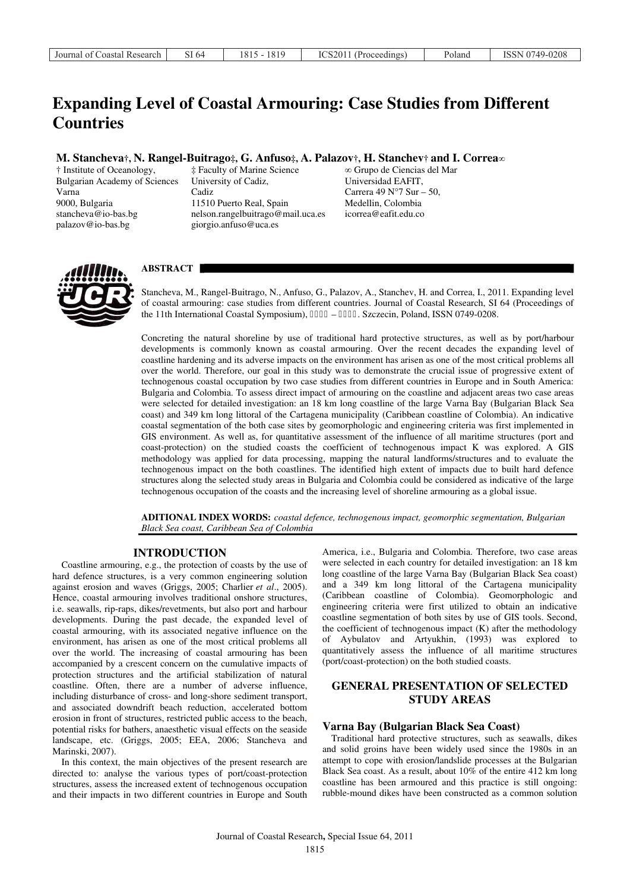# **Expanding Level of Coastal Armouring: Case Studies from Different Countries**

# **M. Stancheva†, N. Rangel-Buitrago‡, G. Anfuso‡, A. Palazov†, H. Stanchev† and I. Correa***∞*

† Institute of Oceanology, Bulgarian Academy of Sciences Varna 9000, Bulgaria stancheva@io-bas.bg palazov@io-bas.bg

‡ Faculty of Marine Science University of Cadiz, Cadiz 11510 Puerto Real, Spain nelson.rangelbuitrago@mail.uca.es giorgio.anfuso@uca.es

∞ Grupo de Ciencias del Mar Universidad EAFIT, Carrera 49 N°7 Sur – 50, Medellin, Colombia icorrea@eafit.edu.co



# **ABSTRACT**

Stancheva, M., Rangel-Buitrago, N., Anfuso, G., Palazov, A., Stanchev, H. and Correa, I., 2011. Expanding level of coastal armouring: case studies from different countries. Journal of Coastal Research, SI 64 (Proceedings of the 11th International Coastal Symposium),  $3: 37 - 3: 3$ ; Szczecin, Poland, ISSN 0749-0208.

Concreting the natural shoreline by use of traditional hard protective structures, as well as by port/harbour developments is commonly known as coastal armouring. Over the recent decades the expanding level of coastline hardening and its adverse impacts on the environment has arisen as one of the most critical problems all over the world. Therefore, our goal in this study was to demonstrate the crucial issue of progressive extent of technogenous coastal occupation by two case studies from different countries in Europe and in South America: Bulgaria and Colombia. To assess direct impact of armouring on the coastline and adjacent areas two case areas were selected for detailed investigation: an 18 km long coastline of the large Varna Bay (Bulgarian Black Sea coast) and 349 km long littoral of the Cartagena municipality (Caribbean coastline of Colombia). An indicative coastal segmentation of the both case sites by geomorphologic and engineering criteria was first implemented in GIS environment. As well as, for quantitative assessment of the influence of all maritime structures (port and coast-protection) on the studied coasts the coefficient of technogenous impact K was explored. A GIS methodology was applied for data processing, mapping the natural landforms/structures and to evaluate the technogenous impact on the both coastlines. The identified high extent of impacts due to built hard defence structures along the selected study areas in Bulgaria and Colombia could be considered as indicative of the large technogenous occupation of the coasts and the increasing level of shoreline armouring as a global issue.

**ADITIONAL INDEX WORDS:** *coastal defence, technogenous impact, geomorphic segmentation, Bulgarian Black Sea coast, Caribbean Sea of Colombia*

## **INTRODUCTION**

Coastline armouring, e.g., the protection of coasts by the use of hard defence structures, is a very common engineering solution against erosion and waves (Griggs, 2005; Charlier *et al*., 2005). Hence, coastal armouring involves traditional onshore structures, i.e. seawalls, rip-raps, dikes/revetments, but also port and harbour developments. During the past decade, the expanded level of coastal armouring, with its associated negative influence on the environment, has arisen as one of the most critical problems all over the world. The increasing of coastal armouring has been accompanied by a crescent concern on the cumulative impacts of protection structures and the artificial stabilization of natural coastline. Often, there are a number of adverse influence, including disturbance of cross- and long-shore sediment transport, and associated downdrift beach reduction, accelerated bottom erosion in front of structures, restricted public access to the beach, potential risks for bathers, anaesthetic visual effects on the seaside landscape, etc. (Griggs, 2005; EEA, 2006; Stancheva and Marinski, 2007).

In this context, the main objectives of the present research are directed to: analyse the various types of port/coast-protection structures, assess the increased extent of technogenous occupation and their impacts in two different countries in Europe and South

America, i.e., Bulgaria and Colombia. Therefore, two case areas were selected in each country for detailed investigation: an 18 km long coastline of the large Varna Bay (Bulgarian Black Sea coast) and a 349 km long littoral of the Cartagena municipality (Caribbean coastline of Colombia). Geomorphologic and engineering criteria were first utilized to obtain an indicative coastline segmentation of both sites by use of GIS tools. Second, the coefficient of technogenous impact (K) after the methodology of Aybulatov and Artyukhin, (1993) was explored to quantitatively assess the influence of all maritime structures (port/coast-protection) on the both studied coasts.

# **GENERAL PRESENTATION OF SELECTED STUDY AREAS**

### **Varna Bay (Bulgarian Black Sea Coast)**

Traditional hard protective structures, such as seawalls, dikes and solid groins have been widely used since the 1980s in an attempt to cope with erosion/landslide processes at the Bulgarian Black Sea coast. As a result, about 10% of the entire 412 km long coastline has been armoured and this practice is still ongoing: rubble-mound dikes have been constructed as a common solution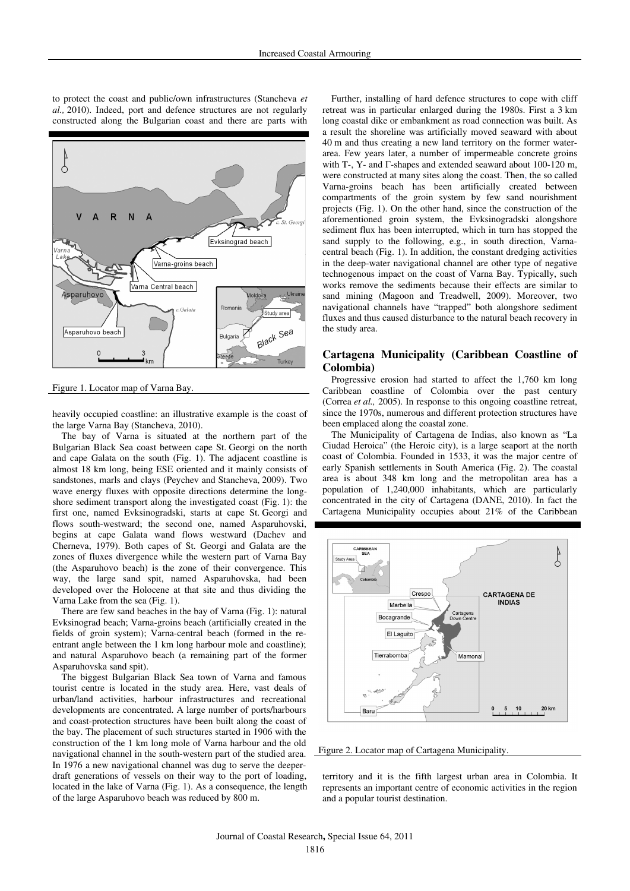

Figure 1. Locator map of Varna Bay.

heavily occupied coastline: an illustrative example is the coast of the large Varna Bay (Stancheva, 2010).

The bay of Varna is situated at the northern part of the Bulgarian Black Sea coast between cape St. Georgi on the north and cape Galata on the south (Fig. 1). The adjacent coastline is almost 18 km long, being ESE oriented and it mainly consists of sandstones, marls and clays (Peychev and Stancheva, 2009). Two wave energy fluxes with opposite directions determine the longshore sediment transport along the investigated coast (Fig. 1): the first one, named Evksinogradski, starts at cape St. Georgi and flows south-westward; the second one, named Asparuhovski, begins at cape Galata wand flows westward (Dachev and Cherneva, 1979). Both capes of St. Georgi and Galata are the zones of fluxes divergence while the western part of Varna Bay (the Asparuhovo beach) is the zone of their convergence. This way, the large sand spit, named Asparuhovska, had been developed over the Holocene at that site and thus dividing the Varna Lake from the sea (Fig. 1).

There are few sand beaches in the bay of Varna (Fig. 1): natural Evksinograd beach; Varna-groins beach (artificially created in the fields of groin system); Varna-central beach (formed in the reentrant angle between the 1 km long harbour mole and coastline); and natural Asparuhovo beach (a remaining part of the former Asparuhovska sand spit).

The biggest Bulgarian Black Sea town of Varna and famous tourist centre is located in the study area. Here, vast deals of urban/land activities, harbour infrastructures and recreational developments are concentrated. A large number of ports/harbours and coast-protection structures have been built along the coast of the bay. The placement of such structures started in 1906 with the construction of the 1 km long mole of Varna harbour and the old navigational channel in the south-western part of the studied area. In 1976 a new navigational channel was dug to serve the deeperdraft generations of vessels on their way to the port of loading, located in the lake of Varna (Fig. 1). As a consequence, the length of the large Asparuhovo beach was reduced by 800 m.

Further, installing of hard defence structures to cope with cliff retreat was in particular enlarged during the 1980s. First a 3 km long coastal dike or embankment as road connection was built. As a result the shoreline was artificially moved seaward with about 40 m and thus creating a new land territory on the former waterarea. Few years later, a number of impermeable concrete groins with T-, Y- and  $\Gamma$ -shapes and extended seaward about 100-120 m, were constructed at many sites along the coast. Then, the so called Varna-groins beach has been artificially created between compartments of the groin system by few sand nourishment projects (Fig. 1). On the other hand, since the construction of the aforementioned groin system, the Evksinogradski alongshore sediment flux has been interrupted, which in turn has stopped the sand supply to the following, e.g., in south direction, Varnacentral beach (Fig. 1). In addition, the constant dredging activities in the deep-water navigational channel are other type of negative technogenous impact on the coast of Varna Bay. Typically, such works remove the sediments because their effects are similar to sand mining (Magoon and Treadwell, 2009). Moreover, two navigational channels have "trapped" both alongshore sediment fluxes and thus caused disturbance to the natural beach recovery in the study area.

# **Cartagena Municipality (Caribbean Coastline of Colombia)**

Progressive erosion had started to affect the 1,760 km long Caribbean coastline of Colombia over the past century (Correa *et al.,* 2005). In response to this ongoing coastline retreat, since the 1970s, numerous and different protection structures have been emplaced along the coastal zone.

The Municipality of Cartagena de Indias, also known as "La Ciudad Heroica" (the Heroic city), is a large seaport at the north coast of Colombia. Founded in 1533, it was the major centre of early Spanish settlements in South America (Fig. 2). The coastal area is about 348 km long and the metropolitan area has a population of 1,240,000 inhabitants, which are particularly concentrated in the city of Cartagena (DANE, 2010). In fact the Cartagena Municipality occupies about 21% of the Caribbean



Figure 2. Locator map of Cartagena Municipality.

territory and it is the fifth largest urban area in Colombia. It represents an important centre of economic activities in the region and a popular tourist destination.

to protect the coast and public/own infrastructures (Stancheva *et al.,* 2010). Indeed, port and defence structures are not regularly constructed along the Bulgarian coast and there are parts with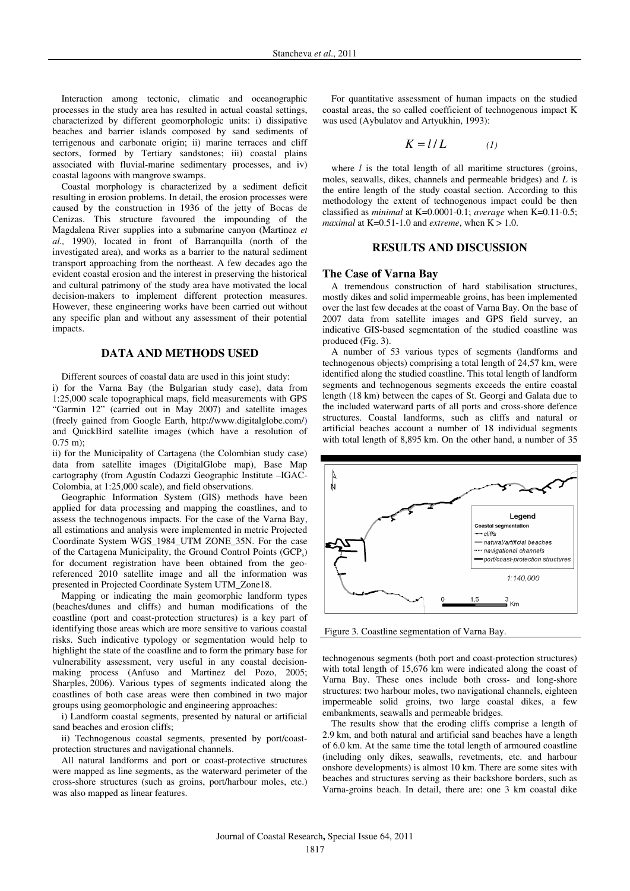Interaction among tectonic, climatic and oceanographic processes in the study area has resulted in actual coastal settings, characterized by different geomorphologic units: i) dissipative beaches and barrier islands composed by sand sediments of terrigenous and carbonate origin; ii) marine terraces and cliff sectors, formed by Tertiary sandstones; iii) coastal plains associated with fluvial-marine sedimentary processes, and iv) coastal lagoons with mangrove swamps.

Coastal morphology is characterized by a sediment deficit resulting in erosion problems. In detail, the erosion processes were caused by the construction in 1936 of the jetty of Bocas de Cenizas. This structure favoured the impounding of the Magdalena River supplies into a submarine canyon (Martinez *et al.,* 1990), located in front of Barranquilla (north of the investigated area), and works as a barrier to the natural sediment transport approaching from the northeast. A few decades ago the evident coastal erosion and the interest in preserving the historical and cultural patrimony of the study area have motivated the local decision-makers to implement different protection measures. However, these engineering works have been carried out without any specific plan and without any assessment of their potential impacts.

# **DATA AND METHODS USED**

Different sources of coastal data are used in this joint study: i) for the Varna Bay (the Bulgarian study case), data from 1:25,000 scale topographical maps, field measurements with GPS "Garmin 12" (carried out in May 2007) and satellite images (freely gained from Google Earth, http://www.digitalglobe.com/) and QuickBird satellite images (which have a resolution of 0.75 m);

ii) for the Municipality of Cartagena (the Colombian study case) data from satellite images (DigitalGlobe map), Base Map cartography (from Agustín Codazzi Geographic Institute –IGAC-Colombia, at 1:25,000 scale), and field observations.

Geographic Information System (GIS) methods have been applied for data processing and mapping the coastlines, and to assess the technogenous impacts. For the case of the Varna Bay, all estimations and analysis were implemented in metric Projected Coordinate System WGS\_1984\_UTM ZONE\_35N. For the case of the Cartagena Municipality, the Ground Control Points (GCPs) for document registration have been obtained from the georeferenced 2010 satellite image and all the information was presented in Projected Coordinate System UTM\_Zone18.

Mapping or indicating the main geomorphic landform types (beaches/dunes and cliffs) and human modifications of the coastline (port and coast-protection structures) is a key part of identifying those areas which are more sensitive to various coastal risks. Such indicative typology or segmentation would help to highlight the state of the coastline and to form the primary base for vulnerability assessment, very useful in any coastal decisionmaking process (Anfuso and Martinez del Pozo, 2005; Sharples, 2006). Various types of segments indicated along the coastlines of both case areas were then combined in two major groups using geomorphologic and engineering approaches:

i) Landform coastal segments, presented by natural or artificial sand beaches and erosion cliffs;

ii) Technogenous coastal segments, presented by port/coastprotection structures and navigational channels.

All natural landforms and port or coast-protective structures were mapped as line segments, as the waterward perimeter of the cross-shore structures (such as groins, port/harbour moles, etc.) was also mapped as linear features.

For quantitative assessment of human impacts on the studied coastal areas, the so called coefficient of technogenous impact K was used (Aybulatov and Artyukhin, 1993):

$$
K = l/L \tag{1}
$$

where *l* is the total length of all maritime structures (groins, moles, seawalls, dikes, channels and permeable bridges) and *L* is the entire length of the study coastal section. According to this methodology the extent of technogenous impact could be then classified as *minimal* at K=0.0001-0.1; *average* when K=0.11-0.5; *maximal* at  $K=0.51-1.0$  and *extreme*, when  $K > 1.0$ .

# **RESULTS AND DISCUSSION**

#### **The Case of Varna Bay**

A tremendous construction of hard stabilisation structures, mostly dikes and solid impermeable groins, has been implemented over the last few decades at the coast of Varna Bay. On the base of 2007 data from satellite images and GPS field survey, an indicative GIS-based segmentation of the studied coastline was produced (Fig. 3).

A number of 53 various types of segments (landforms and technogenous objects) comprising a total length of 24,57 km, were identified along the studied coastline. This total length of landform segments and technogenous segments exceeds the entire coastal length (18 km) between the capes of St. Georgi and Galata due to the included waterward parts of all ports and cross-shore defence structures. Coastal landforms, such as cliffs and natural or artificial beaches account a number of 18 individual segments with total length of 8,895 km. On the other hand, a number of 35



Figure 3. Coastline segmentation of Varna Bay.

technogenous segments (both port and coast-protection structures) with total length of 15,676 km were indicated along the coast of Varna Bay. These ones include both cross- and long-shore structures: two harbour moles, two navigational channels, eighteen impermeable solid groins, two large coastal dikes, a few embankments, seawalls and permeable bridges.

The results show that the eroding cliffs comprise a length of 2.9 km, and both natural and artificial sand beaches have a length of 6.0 km. At the same time the total length of armoured coastline (including only dikes, seawalls, revetments, etc. and harbour onshore developments) is almost 10 km. There are some sites with beaches and structures serving as their backshore borders, such as Varna-groins beach. In detail, there are: one 3 km coastal dike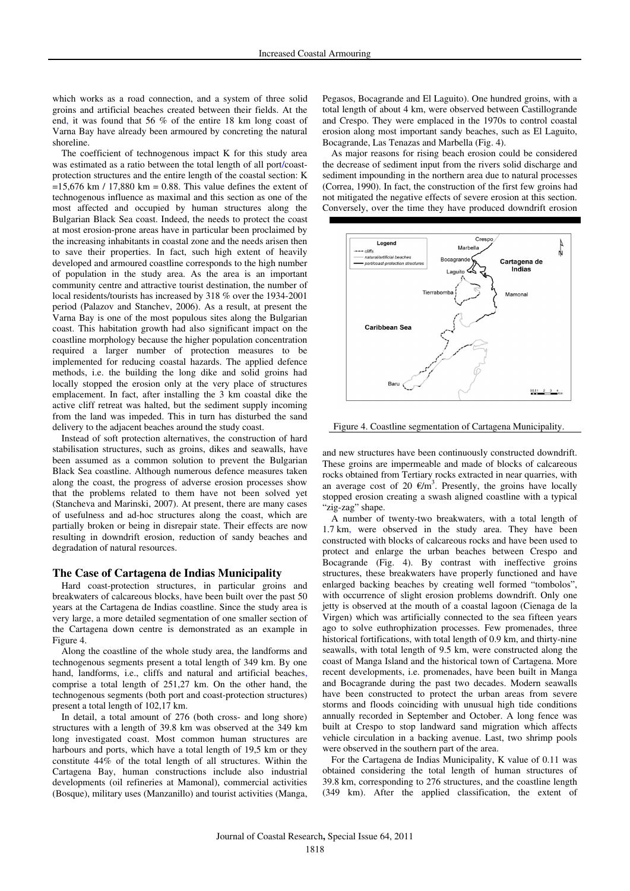which works as a road connection, and a system of three solid groins and artificial beaches created between their fields. At the end, it was found that 56 % of the entire 18 km long coast of Varna Bay have already been armoured by concreting the natural shoreline.

The coefficient of technogenous impact K for this study area was estimated as a ratio between the total length of all port/coastprotection structures and the entire length of the coastal section: K  $=15,676$  km / 17,880 km = 0.88. This value defines the extent of technogenous influence as maximal and this section as one of the most affected and occupied by human structures along the Bulgarian Black Sea coast. Indeed, the needs to protect the coast at most erosion-prone areas have in particular been proclaimed by the increasing inhabitants in coastal zone and the needs arisen then to save their properties. In fact, such high extent of heavily developed and armoured coastline corresponds to the high number of population in the study area. As the area is an important community centre and attractive tourist destination, the number of local residents/tourists has increased by 318 % over the 1934-2001 period (Palazov and Stanchev, 2006). As a result, at present the Varna Bay is one of the most populous sites along the Bulgarian coast. This habitation growth had also significant impact on the coastline morphology because the higher population concentration required a larger number of protection measures to be implemented for reducing coastal hazards. The applied defence methods, i.e. the building the long dike and solid groins had locally stopped the erosion only at the very place of structures emplacement. In fact, after installing the 3 km coastal dike the active cliff retreat was halted, but the sediment supply incoming from the land was impeded. This in turn has disturbed the sand delivery to the adjacent beaches around the study coast.

Instead of soft protection alternatives, the construction of hard stabilisation structures, such as groins, dikes and seawalls, have been assumed as a common solution to prevent the Bulgarian Black Sea coastline. Although numerous defence measures taken along the coast, the progress of adverse erosion processes show that the problems related to them have not been solved yet (Stancheva and Marinski, 2007). At present, there are many cases of usefulness and ad-hoc structures along the coast, which are partially broken or being in disrepair state. Their effects are now resulting in downdrift erosion, reduction of sandy beaches and degradation of natural resources.

## **The Case of Cartagena de Indias Municipality**

Hard coast-protection structures, in particular groins and breakwaters of calcareous blocks, have been built over the past 50 years at the Cartagena de Indias coastline. Since the study area is very large, a more detailed segmentation of one smaller section of the Cartagena down centre is demonstrated as an example in Figure 4.

Along the coastline of the whole study area, the landforms and technogenous segments present a total length of 349 km. By one hand, landforms, i.e., cliffs and natural and artificial beaches, comprise a total length of 251,27 km. On the other hand, the technogenous segments (both port and coast-protection structures) present a total length of 102,17 km.

In detail, a total amount of 276 (both cross- and long shore) structures with a length of 39.8 km was observed at the 349 km long investigated coast. Most common human structures are harbours and ports, which have a total length of 19,5 km or they constitute 44% of the total length of all structures. Within the Cartagena Bay, human constructions include also industrial developments (oil refineries at Mamonal), commercial activities (Bosque), military uses (Manzanillo) and tourist activities (Manga, Pegasos, Bocagrande and El Laguito). One hundred groins, with a total length of about 4 km, were observed between Castillogrande and Crespo. They were emplaced in the 1970s to control coastal erosion along most important sandy beaches, such as El Laguito, Bocagrande, Las Tenazas and Marbella (Fig. 4).

As major reasons for rising beach erosion could be considered the decrease of sediment input from the rivers solid discharge and sediment impounding in the northern area due to natural processes (Correa, 1990). In fact, the construction of the first few groins had not mitigated the negative effects of severe erosion at this section. Conversely, over the time they have produced downdrift erosion



Figure 4. Coastline segmentation of Cartagena Municipality.

and new structures have been continuously constructed downdrift. These groins are impermeable and made of blocks of calcareous rocks obtained from Tertiary rocks extracted in near quarries, with an average cost of 20  $\epsilon/m^3$ . Presently, the groins have locally stopped erosion creating a swash aligned coastline with a typical "zig-zag" shape.

A number of twenty-two breakwaters, with a total length of 1.7 km, were observed in the study area. They have been constructed with blocks of calcareous rocks and have been used to protect and enlarge the urban beaches between Crespo and Bocagrande (Fig. 4). By contrast with ineffective groins structures, these breakwaters have properly functioned and have enlarged backing beaches by creating well formed "tombolos", with occurrence of slight erosion problems downdrift. Only one jetty is observed at the mouth of a coastal lagoon (Cienaga de la Virgen) which was artificially connected to the sea fifteen years ago to solve euthrophization processes. Few promenades, three historical fortifications, with total length of 0.9 km, and thirty-nine seawalls, with total length of 9.5 km, were constructed along the coast of Manga Island and the historical town of Cartagena. More recent developments, i.e. promenades, have been built in Manga and Bocagrande during the past two decades. Modern seawalls have been constructed to protect the urban areas from severe storms and floods coinciding with unusual high tide conditions annually recorded in September and October. A long fence was built at Crespo to stop landward sand migration which affects vehicle circulation in a backing avenue. Last, two shrimp pools were observed in the southern part of the area.

For the Cartagena de Indias Municipality, K value of 0.11 was obtained considering the total length of human structures of 39.8 km, corresponding to 276 structures, and the coastline length (349 km). After the applied classification, the extent of